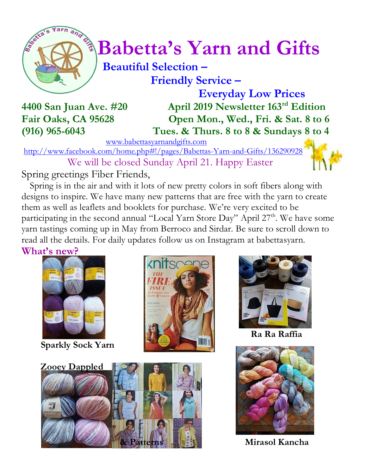

# $\int_{a}^{\frac{1}{2}} \sqrt{\frac{1}{a}} B$ abetta's Yarn and Gifts

 **Beautiful Selection – Friendly Service –**

 **Everyday Low Prices 4400 San Juan Ave. #20 April 2019 Newsletter 163rd Edition Fair Oaks, CA 95628 Open Mon., Wed., Fri. & Sat. 8 to 6 (916) 965-6043 Tues. & Thurs. 8 to 8 & Sundays 8 to 4**

[www.babettasyarnandgifts.com](http://www.babettasyarnandgifts.com/)

<http://www.facebook.com/home.php#!/pages/Babettas-Yarn-and-Gifts/136290928> We will be closed Sunday April 21. Happy Easter

Spring greetings Fiber Friends,

 Spring is in the air and with it lots of new pretty colors in soft fibers along with designs to inspire. We have many new patterns that are free with the yarn to create them as well as leaflets and booklets for purchase. We're very excited to be participating in the second annual "Local Yarn Store Day" April 27<sup>th</sup>. We have some yarn tastings coming up in May from Berroco and Sirdar. Be sure to scroll down to read all the details. For daily updates follow us on Instagram at babettasyarn.

## **What's new?**



**Sparkly Sock Yarn** 







**Ra Ra Raffia**



**Mirasol Kancha**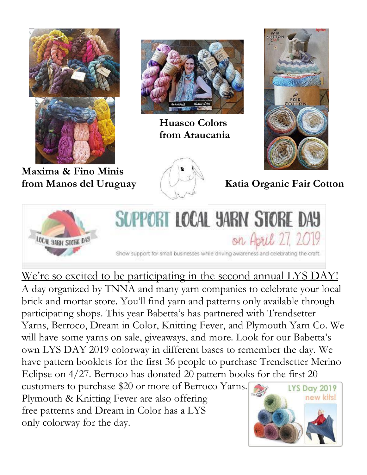

**Maxima & Fino Minis**

only colorway for the day.



 **Huasco Colors from Araucania**



**from Manos del Uruguay (Katia Organic Fair Cotton** 



We're so excited to be participating in the second annual LYS DAY! A day organized by TNNA and many yarn companies to celebrate your local brick and mortar store. You'll find yarn and patterns only available through participating shops. This year Babetta's has partnered with Trendsetter Yarns, Berroco, Dream in Color, Knitting Fever, and Plymouth Yarn Co. We will have some yarns on sale, giveaways, and more. Look for our Babetta's own LYS DAY 2019 colorway in different bases to remember the day. We have pattern booklets for the first 36 people to purchase Trendsetter Merino Eclipse on 4/27. Berroco has donated 20 pattern books for the first 20 customers to purchase \$20 or more of Berroco Yarns. **LYS Day 2019** new kits! Plymouth & Knitting Fever are also offering free patterns and Dream in Color has a LYS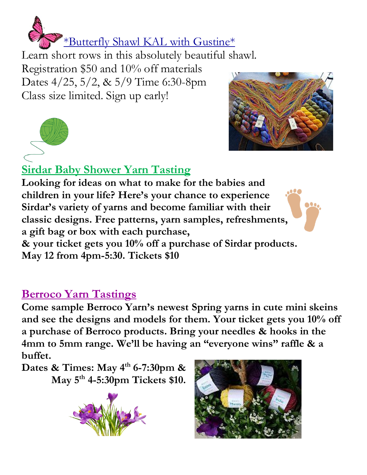

Learn short rows in this absolutely beautiful shawl. Registration \$50 and 10% off materials Dates 4/25, 5/2, & 5/9 Time 6:30-8pm Class size limited. Sign up early!





# **Sirdar Baby Shower Yarn Tasting**

**Looking for ideas on what to make for the babies and children in your life? Here's your chance to experience Sirdar's variety of yarns and become familiar with their classic designs. Free patterns, yarn samples, refreshments, a gift bag or box with each purchase,** 



# **Berroco Yarn Tastings**

**Come sample Berroco Yarn's newest Spring yarns in cute mini skeins and see the designs and models for them. Your ticket gets you 10% off a purchase of Berroco products. Bring your needles & hooks in the 4mm to 5mm range. We'll be having an "everyone wins" raffle & a buffet.**

**Dates & Times: May 4th 6-7:30pm & May 5th 4-5:30pm Tickets \$10.**